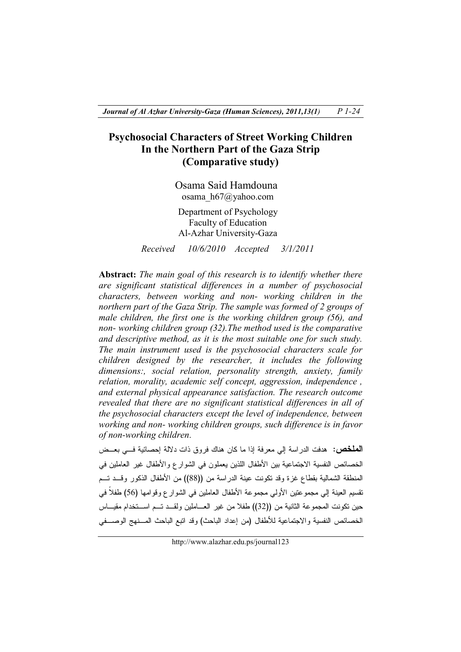# **Psychosocial Characters of Street Working Children In the Northern Part of the Gaza Strip (Comparative study)**

Osama Said Hamdouna osama\_h67@yahoo.com

Department of Psychology Faculty of Education Al-Azhar University-Gaza

*Received 10/6/2010 Accepted 3/1/2011* 

**Abstract:** *The main goal of this research is to identify whether there are significant statistical differences in a number of psychosocial characters, between working and non- working children in the northern part of the Gaza Strip. The sample was formed of 2 groups of male children, the first one is the working children group (56), and non- working children group (32).The method used is the comparative and descriptive method, as it is the most suitable one for such study. The main instrument used is the psychosocial characters scale for children designed by the researcher, it includes the following dimensions:, social relation, personality strength, anxiety, family relation, morality, academic self concept, aggression, independence , and external physical appearance satisfaction. The research outcome revealed that there are no significant statistical differences in all of the psychosocial characters except the level of independence, between working and non- working children groups, such difference is in favor of non-working children*.

**الملخص**: هدفت الدراسة إلي معرفة إذا ما كان هناك فروق ذات دلالة إحصائية فـي بعـض الخصائص النفسية الاجتماعية بين الأطفال اللذين يعملون في الشوارع والأطفال غير العاملين في المنطقة الشمالية بقطاع غزة وقد تكونت عينة الدراسة من ((88)) من الأطفال الذكور وقـد تـم تقسيم العينة إلي مجموعتين الأولي مجموعة الأطفال العاملين في الشوارع وقوامها (56) طفلاً في حين تكونت المجموعة الثانية من ((32)) طفلا من غير العـاملين ولقـد تـم اسـتخدام مقيـاس الخصائص النفسية والاجتماعية للأطفال (من إعداد الباحث ) وقد اتبع الباحث المـنهج الوصـفي

http://www.alazhar.edu.ps/journal123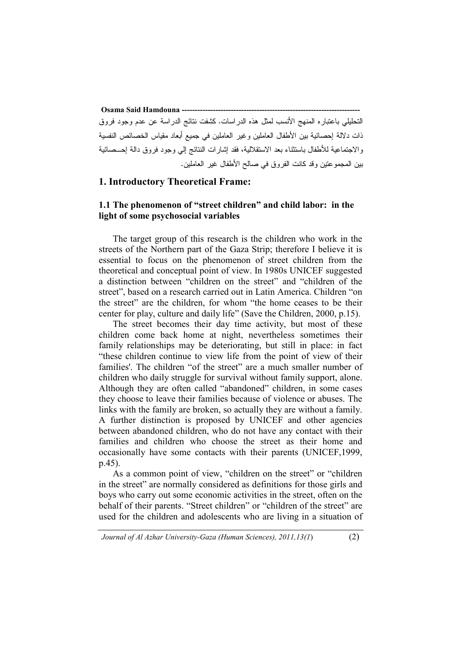**Osama Said Hamdouna ---------------------------------------------------------------------** التحليلي باعتباره المنهج الأنسب لمثل هذه الدراسات . كشفت نتائج الدراسة عن عدم وجود فروق ذات دلالة إحصائية بين الأطفال العاملين وغير العاملين في جميع أبعاد مقياس الخصائص النفسية والاجتماعية للأطفال باستثناء بعد الاستقلالية، فقد إشارات النتائج إلي وجود فروق دالة إحـ صائية بين المجموعتين وقد كانت الفروق في صالح الأطفال غير العاملين.

#### **1. Introductory Theoretical Frame:**

### **1.1 The phenomenon of "street children" and child labor: in the light of some psychosocial variables**

The target group of this research is the children who work in the streets of the Northern part of the Gaza Strip; therefore I believe it is essential to focus on the phenomenon of street children from the theoretical and conceptual point of view. In 1980s UNICEF suggested a distinction between "children on the street" and "children of the street", based on a research carried out in Latin America. Children "on the street" are the children, for whom "the home ceases to be their center for play, culture and daily life" (Save the Children, 2000, p.15).

The street becomes their day time activity, but most of these children come back home at night, nevertheless sometimes their family relationships may be deteriorating, but still in place: in fact "these children continue to view life from the point of view of their families'. The children "of the street" are a much smaller number of children who daily struggle for survival without family support, alone. Although they are often called "abandoned" children, in some cases they choose to leave their families because of violence or abuses. The links with the family are broken, so actually they are without a family. A further distinction is proposed by UNICEF and other agencies between abandoned children, who do not have any contact with their families and children who choose the street as their home and occasionally have some contacts with their parents (UNICEF,1999, p.45).

As a common point of view, "children on the street" or "children in the street" are normally considered as definitions for those girls and boys who carry out some economic activities in the street, often on the behalf of their parents. "Street children" or "children of the street" are used for the children and adolescents who are living in a situation of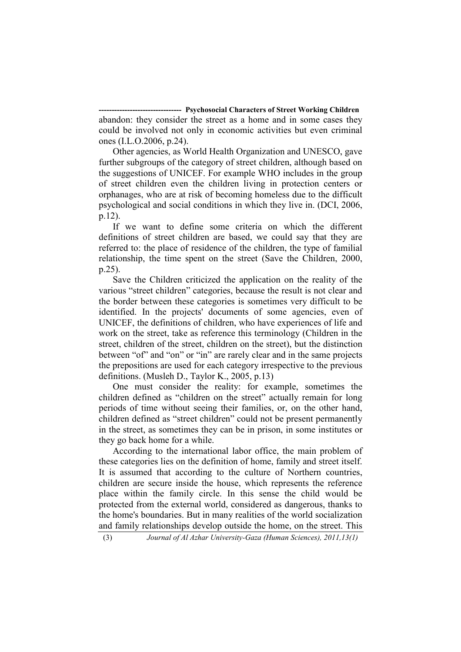**---- Psychosocial Characters of Street Working Children** abandon: they consider the street as a home and in some cases they could be involved not only in economic activities but even criminal ones (I.L.O.2006, p.24).

Other agencies, as World Health Organization and UNESCO, gave further subgroups of the category of street children, although based on the suggestions of UNICEF. For example WHO includes in the group of street children even the children living in protection centers or orphanages, who are at risk of becoming homeless due to the difficult psychological and social conditions in which they live in. (DCI, 2006, p.12).

If we want to define some criteria on which the different definitions of street children are based, we could say that they are referred to: the place of residence of the children, the type of familial relationship, the time spent on the street (Save the Children, 2000, p.25).

Save the Children criticized the application on the reality of the various "street children" categories, because the result is not clear and the border between these categories is sometimes very difficult to be identified. In the projects' documents of some agencies, even of UNICEF, the definitions of children, who have experiences of life and work on the street, take as reference this terminology (Children in the street, children of the street, children on the street), but the distinction between "of" and "on" or "in" are rarely clear and in the same projects the prepositions are used for each category irrespective to the previous definitions. (Musleh D., Taylor K., 2005, p.13)

One must consider the reality: for example, sometimes the children defined as "children on the street" actually remain for long periods of time without seeing their families, or, on the other hand, children defined as "street children" could not be present permanently in the street, as sometimes they can be in prison, in some institutes or they go back home for a while.

According to the international labor office, the main problem of these categories lies on the definition of home, family and street itself. It is assumed that according to the culture of Northern countries, children are secure inside the house, which represents the reference place within the family circle. In this sense the child would be protected from the external world, considered as dangerous, thanks to the home's boundaries. But in many realities of the world socialization and family relationships develop outside the home, on the street. This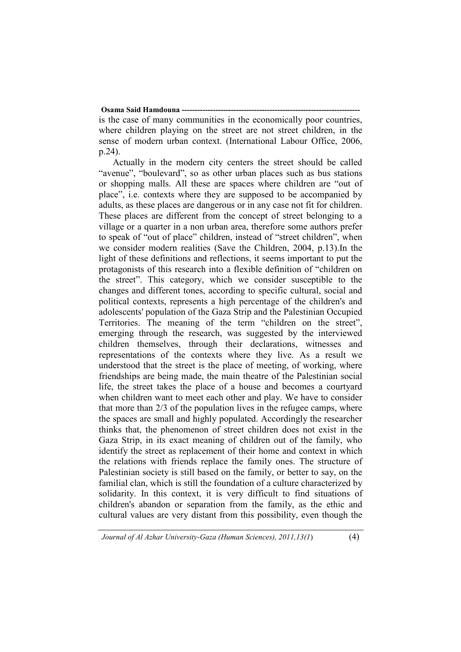# **Osama Said Hamdouna --**

is the case of many communities in the economically poor countries, where children playing on the street are not street children, in the sense of modern urban context. (International Labour Office, 2006, p.24).

Actually in the modern city centers the street should be called "avenue", "boulevard", so as other urban places such as bus stations or shopping malls. All these are spaces where children are "out of place", i.e. contexts where they are supposed to be accompanied by adults, as these places are dangerous or in any case not fit for children. These places are different from the concept of street belonging to a village or a quarter in a non urban area, therefore some authors prefer to speak of "out of place" children, instead of "street children", when we consider modern realities (Save the Children, 2004, p.13).In the light of these definitions and reflections, it seems important to put the protagonists of this research into a flexible definition of "children on the street". This category, which we consider susceptible to the changes and different tones, according to specific cultural, social and political contexts, represents a high percentage of the children's and adolescents' population of the Gaza Strip and the Palestinian Occupied Territories. The meaning of the term "children on the street", emerging through the research, was suggested by the interviewed children themselves, through their declarations, witnesses and representations of the contexts where they live. As a result we understood that the street is the place of meeting, of working, where friendships are being made, the main theatre of the Palestinian social life, the street takes the place of a house and becomes a courtyard when children want to meet each other and play. We have to consider that more than 2/3 of the population lives in the refugee camps, where the spaces are small and highly populated. Accordingly the researcher thinks that, the phenomenon of street children does not exist in the Gaza Strip, in its exact meaning of children out of the family, who identify the street as replacement of their home and context in which the relations with friends replace the family ones. The structure of Palestinian society is still based on the family, or better to say, on the familial clan, which is still the foundation of a culture characterized by solidarity. In this context, it is very difficult to find situations of children's abandon or separation from the family, as the ethic and cultural values are very distant from this possibility, even though the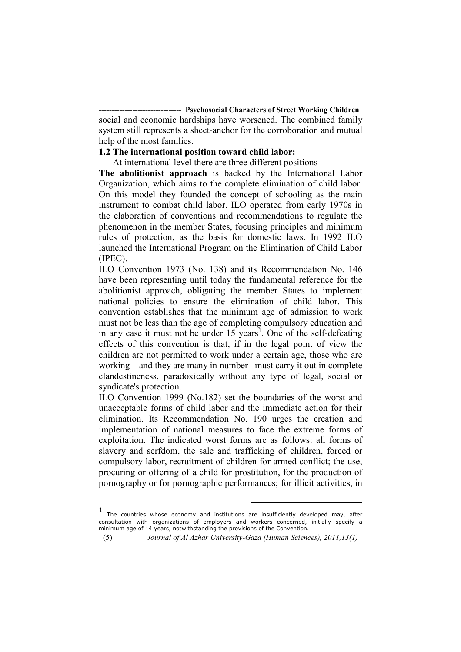**-- Psychosocial Characters of Street Working Children** social and economic hardships have worsened. The combined family system still represents a sheet-anchor for the corroboration and mutual help of the most families.

#### **1.2 The international position toward child labor:**

At international level there are three different positions

**The abolitionist approach** is backed by the International Labor Organization, which aims to the complete elimination of child labor. On this model they founded the concept of schooling as the main instrument to combat child labor. ILO operated from early 1970s in the elaboration of conventions and recommendations to regulate the phenomenon in the member States, focusing principles and minimum rules of protection, as the basis for domestic laws. In 1992 ILO launched the International Program on the Elimination of Child Labor (IPEC).

ILO Convention 1973 (No. 138) and its Recommendation No. 146 have been representing until today the fundamental reference for the abolitionist approach, obligating the member States to implement national policies to ensure the elimination of child labor. This convention establishes that the minimum age of admission to work must not be less than the age of completing compulsory education and in any case it must not be under  $15$  years<sup>1</sup>. One of the self-defeating effects of this convention is that, if in the legal point of view the children are not permitted to work under a certain age, those who are working – and they are many in number– must carry it out in complete clandestineness, paradoxically without any type of legal, social or syndicate's protection.

ILO Convention 1999 (No.182) set the boundaries of the worst and unacceptable forms of child labor and the immediate action for their elimination. Its Recommendation No. 190 urges the creation and implementation of national measures to face the extreme forms of exploitation. The indicated worst forms are as follows: all forms of slavery and serfdom, the sale and trafficking of children, forced or compulsory labor, recruitment of children for armed conflict; the use, procuring or offering of a child for prostitution, for the production of pornography or for pornographic performances; for illicit activities, in

 $\overline{a}$ 

<sup>1</sup> The countries whose economy and institutions are insufficiently developed may, after consultation with organizations of employers and workers concerned, initially specify a minimum age of 14 years, notwithstanding the provisions of the Convention.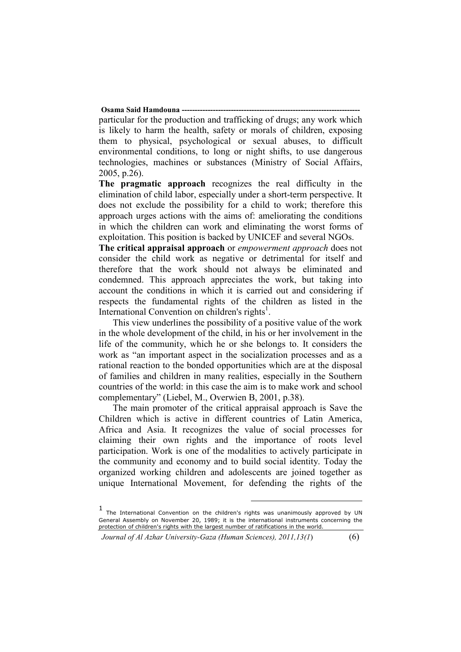**Osama Said Hamdouna --**

particular for the production and trafficking of drugs; any work which is likely to harm the health, safety or morals of children, exposing them to physical, psychological or sexual abuses, to difficult environmental conditions, to long or night shifts, to use dangerous technologies, machines or substances (Ministry of Social Affairs, 2005, p.26).

**The pragmatic approach** recognizes the real difficulty in the elimination of child labor, especially under a short-term perspective. It does not exclude the possibility for a child to work; therefore this approach urges actions with the aims of: ameliorating the conditions in which the children can work and eliminating the worst forms of exploitation. This position is backed by UNICEF and several NGOs.

**The critical appraisal approach** or *empowerment approach* does not consider the child work as negative or detrimental for itself and therefore that the work should not always be eliminated and condemned. This approach appreciates the work, but taking into account the conditions in which it is carried out and considering if respects the fundamental rights of the children as listed in the International Convention on children's rights<sup>1</sup>.

This view underlines the possibility of a positive value of the work in the whole development of the child, in his or her involvement in the life of the community, which he or she belongs to. It considers the work as "an important aspect in the socialization processes and as a rational reaction to the bonded opportunities which are at the disposal of families and children in many realities, especially in the Southern countries of the world: in this case the aim is to make work and school complementary" (Liebel, M., Overwien B, 2001, p.38).

The main promoter of the critical appraisal approach is Save the Children which is active in different countries of Latin America, Africa and Asia. It recognizes the value of social processes for claiming their own rights and the importance of roots level participation. Work is one of the modalities to actively participate in the community and economy and to build social identity. Today the organized working children and adolescents are joined together as unique International Movement, for defending the rights of the

 $\overline{a}$ 

<sup>1</sup> The International Convention on the children's rights was unanimously approved by UN General Assembly on November 20, 1989; it is the international instruments concerning the protection of children's rights with the largest number of ratifications in the world.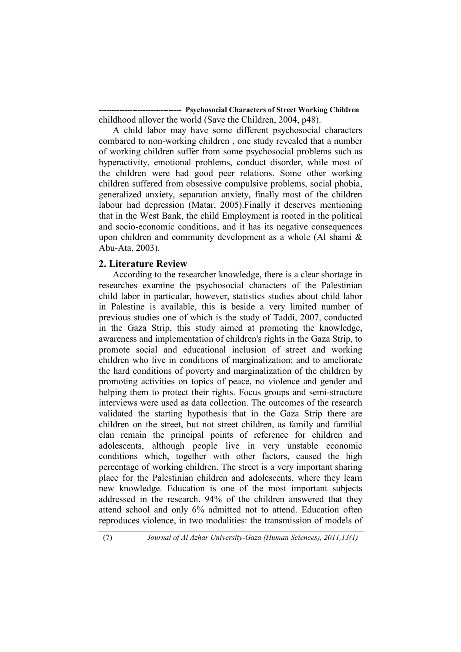**--- Psychosocial Characters of Street Working Children** childhood allover the world (Save the Children, 2004, p48).

A child labor may have some different psychosocial characters combared to non-working children , one study revealed that a number of working children suffer from some psychosocial problems such as hyperactivity, emotional problems, conduct disorder, while most of the children were had good peer relations. Some other working children suffered from obsessive compulsive problems, social phobia, generalized anxiety, separation anxiety, finally most of the children labour had depression (Matar, 2005).Finally it deserves mentioning that in the West Bank, the child Employment is rooted in the political and socio-economic conditions, and it has its negative consequences upon children and community development as a whole (Al shami & Abu-Ata, 2003).

#### **2. Literature Review**

According to the researcher knowledge, there is a clear shortage in researches examine the psychosocial characters of the Palestinian child labor in particular, however, statistics studies about child labor in Palestine is available, this is beside a very limited number of previous studies one of which is the study of Taddi, 2007, conducted in the Gaza Strip, this study aimed at promoting the knowledge, awareness and implementation of children's rights in the Gaza Strip, to promote social and educational inclusion of street and working children who live in conditions of marginalization; and to ameliorate the hard conditions of poverty and marginalization of the children by promoting activities on topics of peace, no violence and gender and helping them to protect their rights. Focus groups and semi-structure interviews were used as data collection. The outcomes of the research validated the starting hypothesis that in the Gaza Strip there are children on the street, but not street children, as family and familial clan remain the principal points of reference for children and adolescents, although people live in very unstable economic conditions which, together with other factors, caused the high percentage of working children. The street is a very important sharing place for the Palestinian children and adolescents, where they learn new knowledge. Education is one of the most important subjects addressed in the research. 94% of the children answered that they attend school and only 6% admitted not to attend. Education often reproduces violence, in two modalities: the transmission of models of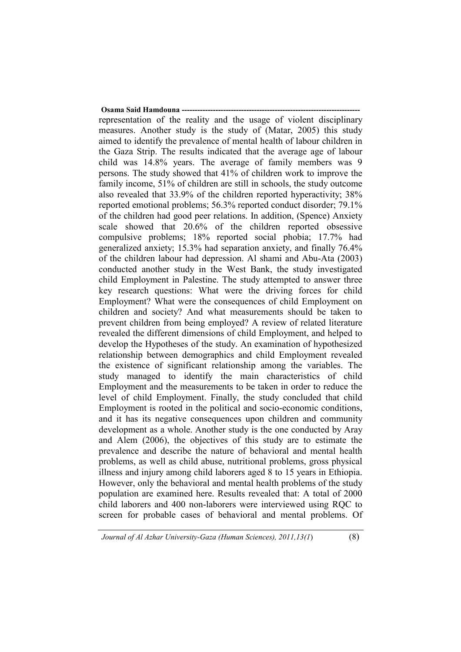**Osama Said Hamdouna ---**representation of the reality and the usage of violent disciplinary measures. Another study is the study of (Matar, 2005) this study aimed to identify the prevalence of mental health of labour children in the Gaza Strip. The results indicated that the average age of labour child was 14.8% years. The average of family members was 9 persons. The study showed that 41% of children work to improve the family income, 51% of children are still in schools, the study outcome also revealed that 33.9% of the children reported hyperactivity; 38% reported emotional problems; 56.3% reported conduct disorder; 79.1% of the children had good peer relations. In addition, (Spence) Anxiety scale showed that 20.6% of the children reported obsessive compulsive problems; 18% reported social phobia; 17.7% had generalized anxiety; 15.3% had separation anxiety, and finally 76.4% of the children labour had depression. Al shami and Abu-Ata (2003) conducted another study in the West Bank, the study investigated child Employment in Palestine. The study attempted to answer three key research questions: What were the driving forces for child Employment? What were the consequences of child Employment on children and society? And what measurements should be taken to prevent children from being employed? A review of related literature revealed the different dimensions of child Employment, and helped to develop the Hypotheses of the study. An examination of hypothesized relationship between demographics and child Employment revealed the existence of significant relationship among the variables. The study managed to identify the main characteristics of child Employment and the measurements to be taken in order to reduce the level of child Employment. Finally, the study concluded that child Employment is rooted in the political and socio-economic conditions, and it has its negative consequences upon children and community development as a whole. Another study is the one conducted by Aray and Alem (2006), the objectives of this study are to estimate the prevalence and describe the nature of behavioral and mental health problems, as well as child abuse, nutritional problems, gross physical illness and injury among child laborers aged 8 to 15 years in Ethiopia. However, only the behavioral and mental health problems of the study population are examined here. Results revealed that: A total of 2000 child laborers and 400 non-laborers were interviewed using RQC to screen for probable cases of behavioral and mental problems. Of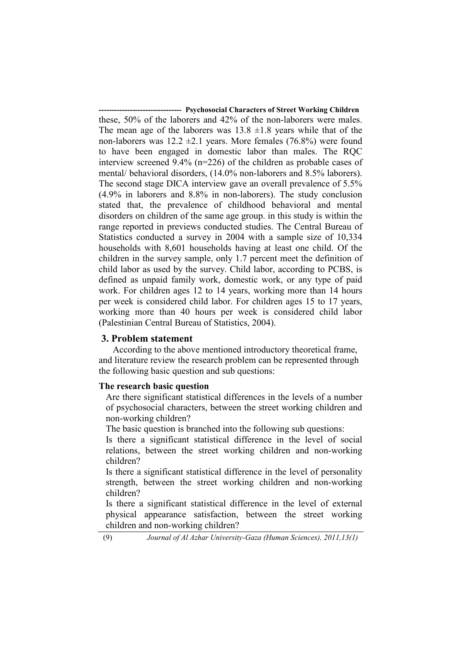**---- Psychosocial Characters of Street Working Children** these, 50% of the laborers and 42% of the non-laborers were males. The mean age of the laborers was  $13.8 \pm 1.8$  years while that of the non-laborers was  $12.2 \pm 2.1$  years. More females (76.8%) were found to have been engaged in domestic labor than males. The RQC interview screened 9.4% (n=226) of the children as probable cases of mental/ behavioral disorders, (14.0% non-laborers and 8.5% laborers). The second stage DICA interview gave an overall prevalence of 5.5% (4.9% in laborers and 8.8% in non-laborers). The study conclusion stated that, the prevalence of childhood behavioral and mental disorders on children of the same age group. in this study is within the range reported in previews conducted studies. The Central Bureau of Statistics conducted a survey in 2004 with a sample size of 10,334 households with 8,601 households having at least one child. Of the children in the survey sample, only 1.7 percent meet the definition of child labor as used by the survey. Child labor, according to PCBS, is defined as unpaid family work, domestic work, or any type of paid work. For children ages 12 to 14 years, working more than 14 hours per week is considered child labor. For children ages 15 to 17 years, working more than 40 hours per week is considered child labor (Palestinian Central Bureau of Statistics, 2004).

#### **3. Problem statement**

According to the above mentioned introductory theoretical frame, and literature review the research problem can be represented through the following basic question and sub questions:

#### **The research basic question**

Are there significant statistical differences in the levels of a number of psychosocial characters, between the street working children and non-working children?

The basic question is branched into the following sub questions:

Is there a significant statistical difference in the level of social relations, between the street working children and non-working children?

Is there a significant statistical difference in the level of personality strength, between the street working children and non-working children?

Is there a significant statistical difference in the level of external physical appearance satisfaction, between the street working children and non-working children?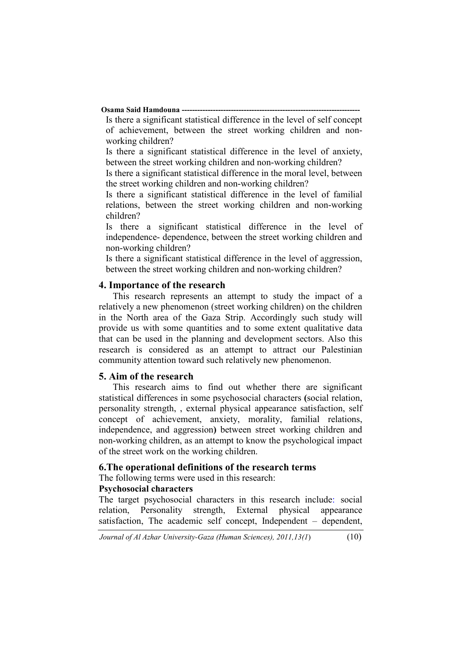#### **Osama Said Hamdouna ---**

Is there a significant statistical difference in the level of self concept of achievement, between the street working children and nonworking children?

Is there a significant statistical difference in the level of anxiety, between the street working children and non-working children?

Is there a significant statistical difference in the moral level, between the street working children and non-working children?

Is there a significant statistical difference in the level of familial relations, between the street working children and non-working children?

Is there a significant statistical difference in the level of independence- dependence, between the street working children and non-working children?

Is there a significant statistical difference in the level of aggression, between the street working children and non-working children?

#### **4. Importance of the research**

This research represents an attempt to study the impact of a relatively a new phenomenon (street working children) on the children in the North area of the Gaza Strip. Accordingly such study will provide us with some quantities and to some extent qualitative data that can be used in the planning and development sectors. Also this research is considered as an attempt to attract our Palestinian community attention toward such relatively new phenomenon.

#### **5. Aim of the research**

This research aims to find out whether there are significant statistical differences in some psychosocial characters **(**social relation, personality strength, , external physical appearance satisfaction, self concept of achievement, anxiety, morality, familial relations, independence, and aggression**)** between street working children and non-working children, as an attempt to know the psychological impact of the street work on the working children.

#### **6.The operational definitions of the research terms**

The following terms were used in this research:

#### **Psychosocial characters**

The target psychosocial characters in this research include: social relation, Personality strength, External physical appearance satisfaction, The academic self concept, Independent – dependent,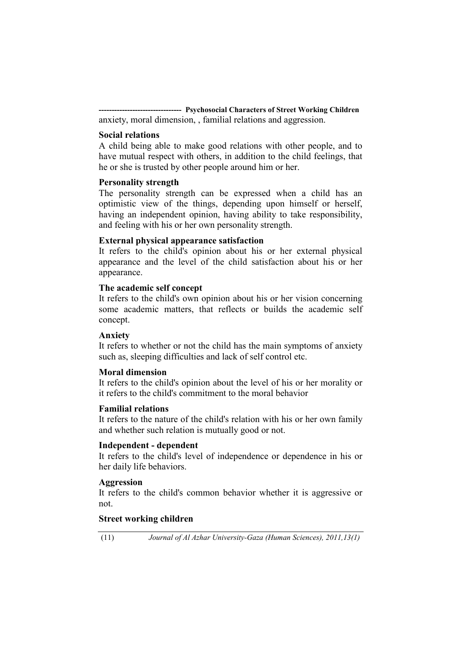**-------------------------------- Psychosocial Characters of Street Working Children**  anxiety, moral dimension, , familial relations and aggression.

#### **Social relations**

A child being able to make good relations with other people, and to have mutual respect with others, in addition to the child feelings, that he or she is trusted by other people around him or her.

#### **Personality strength**

The personality strength can be expressed when a child has an optimistic view of the things, depending upon himself or herself, having an independent opinion, having ability to take responsibility, and feeling with his or her own personality strength.

#### **External physical appearance satisfaction**

It refers to the child's opinion about his or her external physical appearance and the level of the child satisfaction about his or her appearance.

#### **The academic self concept**

It refers to the child's own opinion about his or her vision concerning some academic matters, that reflects or builds the academic self concept.

#### **Anxiety**

It refers to whether or not the child has the main symptoms of anxiety such as, sleeping difficulties and lack of self control etc.

#### **Moral dimension**

It refers to the child's opinion about the level of his or her morality or it refers to the child's commitment to the moral behavior

#### **Familial relations**

It refers to the nature of the child's relation with his or her own family and whether such relation is mutually good or not.

#### **Independent - dependent**

It refers to the child's level of independence or dependence in his or her daily life behaviors.

#### **Aggression**

It refers to the child's common behavior whether it is aggressive or not.

#### **Street working children**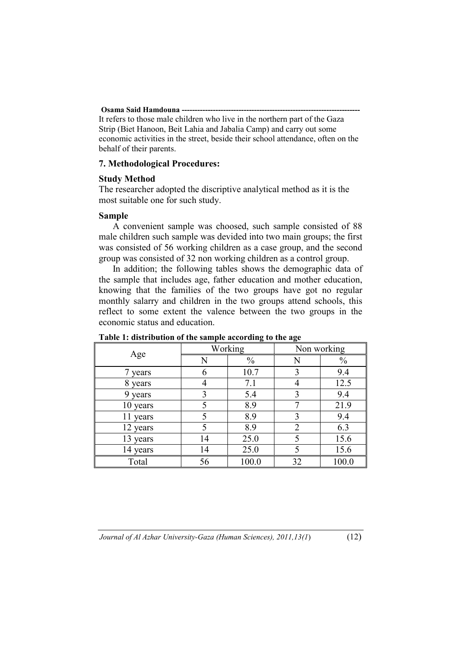#### **Osama Said Hamdouna ----**

It refers to those male children who live in the northern part of the Gaza Strip (Biet Hanoon, Beit Lahia and Jabalia Camp) and carry out some economic activities in the street, beside their school attendance, often on the behalf of their parents.

#### **7. Methodological Procedures:**

#### **Study Method**

The researcher adopted the discriptive analytical method as it is the most suitable one for such study.

#### **Sample**

A convenient sample was choosed, such sample consisted of 88 male children such sample was devided into two main groups; the first was consisted of 56 working children as a case group, and the second group was consisted of 32 non working children as a control group.

In addition; the following tables shows the demographic data of the sample that includes age, father education and mother education, knowing that the families of the two groups have got no regular monthly salarry and children in the two groups attend schools, this reflect to some extent the valence between the two groups in the economic status and education.

| Age      |    | Working       | Non working    |               |  |
|----------|----|---------------|----------------|---------------|--|
|          | N  | $\frac{0}{0}$ | N              | $\frac{0}{0}$ |  |
| 7 years  | 6  | 10.7          | 3              | 9.4           |  |
| 8 years  | 4  | 7.1           |                | 12.5          |  |
| 9 years  | 3  | 5.4           | 3              | 9.4           |  |
| 10 years | 5  | 8.9           | 7              | 21.9          |  |
| 11 years |    | 8.9           | 3              | 9.4           |  |
| 12 years | 5  | 8.9           | $\overline{2}$ | 6.3           |  |
| 13 years | 14 | 25.0          | 5              | 15.6          |  |
| 14 years | 14 | 25.0          |                | 15.6          |  |
| Total    | 56 | 100.0         | 32             | 100.0         |  |

#### **Table 1: distribution of the sample according to the age**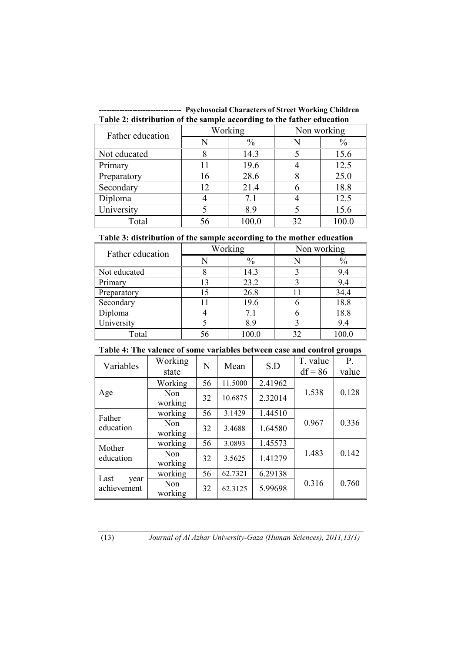**-------------------------------- Psychosocial Characters of Street Working Children Table 2: distribution of the sample according to the father education** 

| Father education |    | $\bullet$<br>Working | Non working |               |  |
|------------------|----|----------------------|-------------|---------------|--|
|                  | N  | $\frac{0}{0}$        |             | $\frac{0}{0}$ |  |
| Not educated     |    | 14.3                 |             | 15.6          |  |
| Primary          |    | 19.6                 |             | 12.5          |  |
| Preparatory      | 16 | 28.6                 |             | 25.0          |  |
| Secondary        | 12 | 21.4                 |             | 18.8          |  |
| Diploma          |    | 7.1                  |             | 12.5          |  |
| University       |    | 8.9                  |             | 15.6          |  |
| Total            | 56 | 100.0                | 32          | 100.0         |  |

#### **Table 3: distribution of the sample according to the mother education**

| Father education |    | Working       | Non working |       |  |
|------------------|----|---------------|-------------|-------|--|
|                  |    | $\frac{0}{0}$ |             | $\%$  |  |
| Not educated     |    | 14.3          |             | 9.4   |  |
| Primary          | 13 | 23.2          |             | 9.4   |  |
| Preparatory      | 15 | 26.8          |             | 34.4  |  |
| Secondary        |    | 19.6          |             | 18.8  |  |
| Diploma          |    | 7.1           |             | 18.8  |  |
| University       |    | 8.9           |             | 9.4   |  |
| Total            | 56 | 100.0         | 32          | 100.0 |  |

# **Table 4: The valence of some variables between case and control groups**

| Variables                   | Working<br>state | N  | Mean    | S.D     | T. value<br>$df = 86$ | P.<br>value |
|-----------------------------|------------------|----|---------|---------|-----------------------|-------------|
|                             | Working          | 56 | 11.5000 | 2.41962 |                       |             |
| Age                         | Non<br>working   | 32 | 10.6875 | 2.32014 | 1.538                 | 0.128       |
| Father                      | working          | 56 | 3.1429  | 1.44510 |                       |             |
| education                   | Non<br>working   | 32 | 3.4688  | 1.64580 | 0.967                 | 0.336       |
|                             | working          | 56 | 3.0893  | 1.45573 |                       |             |
| Mother<br>education         | Non<br>working   | 32 | 3.5625  | 1.41279 | 1.483                 | 0.142       |
| Last<br>year<br>achievement | working          | 56 | 62.7321 | 6.29138 |                       |             |
|                             | Non<br>working   | 32 | 62.3125 | 5.99698 | 0.316                 | 0.760       |

(13) *Journal of Al Azhar University-Gaza (Human Sciences), 2011,13(1)*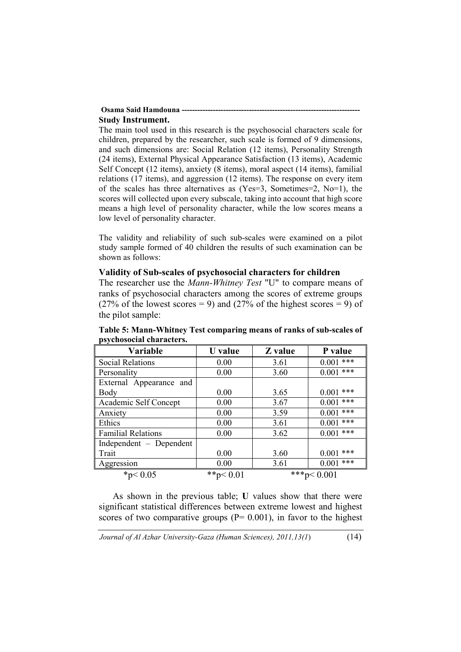#### **Osama Said Hamdouna --Study Instrument.**

The main tool used in this research is the psychosocial characters scale for children, prepared by the researcher, such scale is formed of 9 dimensions, and such dimensions are: Social Relation (12 items), Personality Strength (24 items), External Physical Appearance Satisfaction (13 items), Academic Self Concept (12 items), anxiety (8 items), moral aspect (14 items), familial relations (17 items), and aggression (12 items). The response on every item of the scales has three alternatives as  $(Yes=3, Sometimes=2, No=1)$ , the scores will collected upon every subscale, taking into account that high score means a high level of personality character, while the low scores means a low level of personality character.

The validity and reliability of such sub-scales were examined on a pilot study sample formed of 40 children the results of such examination can be shown as follows:

#### **Validity of Sub-scales of psychosocial characters for children**

The researcher use the *Mann-Whitney Test* "U" to compare means of ranks of psychosocial characters among the scores of extreme groups (27% of the lowest scores = 9) and (27% of the highest scores = 9) of the pilot sample:

| Variable                  | <b>U</b> value | Z value | P value       |
|---------------------------|----------------|---------|---------------|
| <b>Social Relations</b>   | 0.00           | 3.61    | ***<br>0.001  |
| Personality               | 0.00           | 3.60    | $0.001$ ***   |
| External Appearance and   |                |         |               |
| Body                      | 0.00           | 3.65    | ***<br>0.001  |
| Academic Self Concept     | 0.00           | 3.67    | $0.001$ ***   |
| Anxiety                   | 0.00           | 3.59    | $0.001$ ***   |
| Ethics                    | 0.00           | 3.61    | ***<br>0.001  |
| <b>Familial Relations</b> | 0.00           | 3.62    | ***<br>0.001  |
| Independent – Dependent   |                |         |               |
| Trait                     | 0.00           | 3.60    | ***<br>0.001  |
| Aggression                | 0.00           | 3.61    | $0.001$ ***   |
| * $p < 0.05$              | ** $p < 0.01$  |         | ***p< $0.001$ |

**Table 5: Mann-Whitney Test comparing means of ranks of sub-scales of psychosocial characters.** 

As shown in the previous table; **U** values show that there were significant statistical differences between extreme lowest and highest scores of two comparative groups  $(P= 0.001)$ , in favor to the highest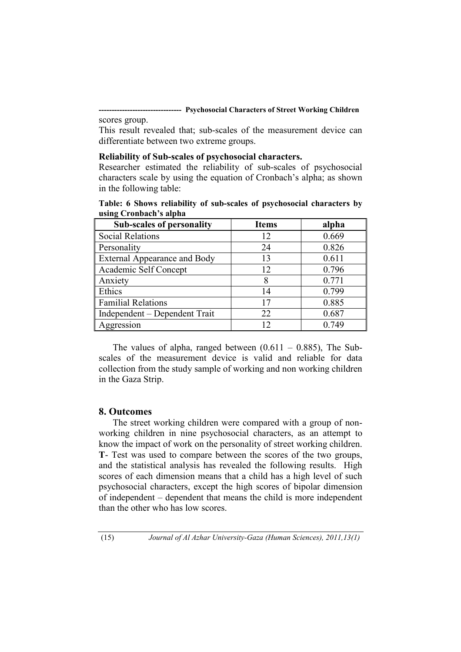**-------------------------------- Psychosocial Characters of Street Working Children**  scores group.

This result revealed that; sub-scales of the measurement device can differentiate between two extreme groups.

#### **Reliability of Sub-scales of psychosocial characters.**

Researcher estimated the reliability of sub-scales of psychosocial characters scale by using the equation of Cronbach's alpha; as shown in the following table:

| using Crondacii s aipha             |              |       |
|-------------------------------------|--------------|-------|
| <b>Sub-scales of personality</b>    | <b>Items</b> | alpha |
| <b>Social Relations</b>             | 12           | 0.669 |
| Personality                         | 24           | 0.826 |
| <b>External Appearance and Body</b> | 13           | 0.611 |
| Academic Self Concept               | 12           | 0.796 |
| Anxiety                             | 8            | 0.771 |
| Ethics                              | 14           | 0.799 |
| <b>Familial Relations</b>           | 17           | 0.885 |
| Independent – Dependent Trait       | 22           | 0.687 |
| Aggression                          | 12           | 0.749 |

**Table: 6 Shows reliability of sub-scales of psychosocial characters by using Cronbach's alpha** 

The values of alpha, ranged between  $(0.611 - 0.885)$ , The Subscales of the measurement device is valid and reliable for data collection from the study sample of working and non working children in the Gaza Strip.

#### **8. Outcomes**

The street working children were compared with a group of nonworking children in nine psychosocial characters, as an attempt to know the impact of work on the personality of street working children. **T**- Test was used to compare between the scores of the two groups, and the statistical analysis has revealed the following results. High scores of each dimension means that a child has a high level of such psychosocial characters, except the high scores of bipolar dimension of independent – dependent that means the child is more independent than the other who has low scores.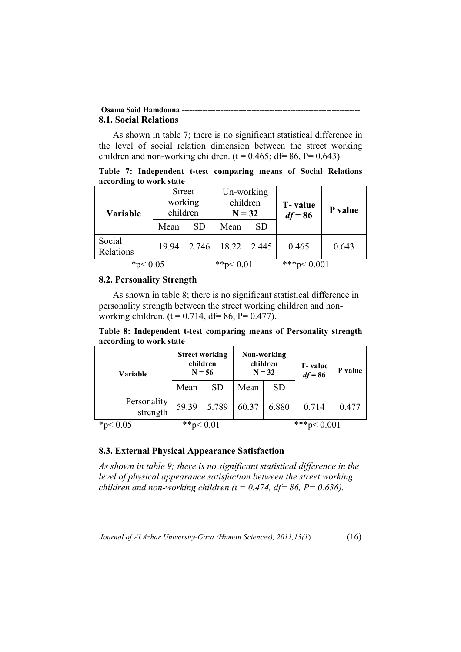#### **Osama Said Hamdouna ----8.1. Social Relations**

As shown in table 7; there is no significant statistical difference in the level of social relation dimension between the street working children and non-working children. ( $t = 0.465$ ; df= 86, P= 0.643).

**Table 7: Independent t-test comparing means of Social Relations according to work state** 

| <b>Variable</b>     | <b>Street</b><br>working<br>children |           | Un-working<br>children<br>$N = 32$ |           | <b>T</b> -value<br>$df = 86$ | P value |
|---------------------|--------------------------------------|-----------|------------------------------------|-----------|------------------------------|---------|
|                     | Mean                                 | <b>SD</b> | Mean                               | <b>SD</b> |                              |         |
| Social<br>Relations | 19.94                                | 2.746     | 18.22                              | 2.445     | 0.465                        | 0.643   |
| * $p < 0.05$        |                                      |           | **p $< 0.01$                       |           | ***p< $0.001$                |         |

# **8.2. Personality Strength**

As shown in table 8; there is no significant statistical difference in personality strength between the street working children and nonworking children. ( $t = 0.714$ , df= 86, P= 0.477).

**Table 8: Independent t-test comparing means of Personality strength according to work state** 

| <b>Variable</b>         | <b>Street working</b><br>children<br>$N = 56$ |           | Non-working<br>children<br>$N = 32$ |           | T-value<br>$df = 86$ | P value |
|-------------------------|-----------------------------------------------|-----------|-------------------------------------|-----------|----------------------|---------|
|                         | Mean                                          | <b>SD</b> | Mean                                | <b>SD</b> |                      |         |
| Personality<br>strength | 59.39                                         | 5.789     | 60.37                               | 6.880     | 0.714                | 0.477   |
| $*_{n<}$                | **p $< 0.01$                                  |           |                                     |           | $***n$               |         |

# **8.3. External Physical Appearance Satisfaction**

*As shown in table 9; there is no significant statistical difference in the level of physical appearance satisfaction between the street working children and non-working children (t = 0.474, df = 86, P = 0.636).*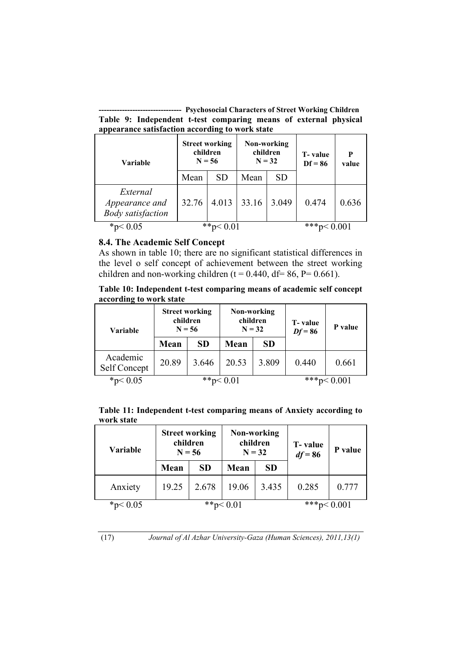**-------------------------------- Psychosocial Characters of Street Working Children Table 9: Independent t-test comparing means of external physical appearance satisfaction according to work state** 

| Variable                                               | <b>Street working</b><br>children<br>$N = 56$ |           | Non-working<br>children<br>$N = 32$ |           | T-value<br>$Df = 86$ | P<br>value |
|--------------------------------------------------------|-----------------------------------------------|-----------|-------------------------------------|-----------|----------------------|------------|
|                                                        | Mean                                          | <b>SD</b> | Mean                                | <b>SD</b> |                      |            |
| External<br>Appearance and<br><b>Body</b> satisfaction | 32.76                                         | 4.013     | 33.16                               | 3.049     | 0.474                | 0.636      |
| * $p < 0.05$                                           |                                               |           |                                     |           | ***n<                |            |

### **8.4. The Academic Self Concept**

As shown in table 10; there are no significant statistical differences in the level o self concept of achievement between the street working children and non-working children (t = 0.440, df = 86, P = 0.661).

**Table 10: Independent t-test comparing means of academic self concept according to work state** 

| Variable                 |       | <b>Street working</b><br>children<br>$N = 56$ | Non-working<br>children<br>$N = 32$ |           | <b>T</b> -value<br>$Df = 86$ | P value       |
|--------------------------|-------|-----------------------------------------------|-------------------------------------|-----------|------------------------------|---------------|
|                          | Mean  | <b>SD</b>                                     | Mean                                | <b>SD</b> |                              |               |
| Academic<br>Self Concept | 20.89 | 3.646                                         | 20.53                               | 3.809     | 0.440                        | 0.661         |
| * $p < 0.05$             |       | **p $< 0.01$                                  |                                     |           |                              | ***p< $0.001$ |

|            |  |  | Table 11: Independent t-test comparing means of Anxiety according to |
|------------|--|--|----------------------------------------------------------------------|
| work state |  |  |                                                                      |

| Variable     | children | <b>Street working</b><br>$N = 56$ |       | Non-working<br>children<br>$N = 32$ | T-value<br>$df = 86$ | P value |
|--------------|----------|-----------------------------------|-------|-------------------------------------|----------------------|---------|
|              | Mean     | <b>SD</b>                         | Mean  | <b>SD</b>                           |                      |         |
| Anxiety      | 19.25    | 2.678                             | 19.06 | 3.435                               | 0.285                | 0.777   |
| * $p < 0.05$ |          | **p $< 0.01$                      |       |                                     | ***p< $0.001$        |         |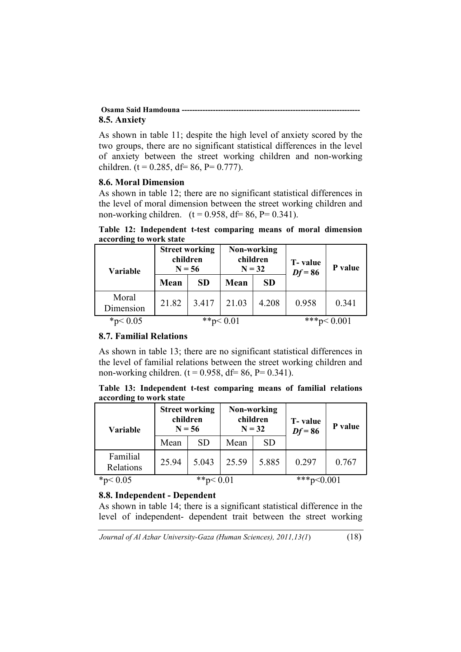#### **Osama Said Hamdouna --------------------------------------------------------------------- 8.5. Anxiety**

As shown in table 11; despite the high level of anxiety scored by the two groups, there are no significant statistical differences in the level of anxiety between the street working children and non-working children. (t =  $0.285$ , df =  $86$ , P =  $0.777$ ).

#### **8.6. Moral Dimension**

As shown in table 12; there are no significant statistical differences in the level of moral dimension between the street working children and non-working children.  $(t = 0.958, df = 86, P = 0.341)$ .

| according to work state |                                               |           |                                     |               |                      |         |  |
|-------------------------|-----------------------------------------------|-----------|-------------------------------------|---------------|----------------------|---------|--|
| Variable                | <b>Street working</b><br>children<br>$N = 56$ |           | Non-working<br>children<br>$N = 32$ |               | T-value<br>$Df = 86$ | P value |  |
|                         | Mean                                          | <b>SD</b> | Mean                                | <b>SD</b>     |                      |         |  |
| Moral<br>Dimension      | 21.82                                         | 3.417     | 21.03                               | 4.208         | 0.958                | 0.341   |  |
| * $p < 0.05$            | **p $< 0.01$                                  |           |                                     | ***p< $0.001$ |                      |         |  |

**Table 12: Independent t-test comparing means of moral dimension according to work state** 

# **8.7. Familial Relations**

As shown in table 13; there are no significant statistical differences in the level of familial relations between the street working children and non-working children.  $(t = 0.958, df = 86, P = 0.341)$ .

|                         | Table 13: Independent t-test comparing means of familial relations |  |  |  |
|-------------------------|--------------------------------------------------------------------|--|--|--|
| according to work state |                                                                    |  |  |  |

| <b>Variable</b>       | <b>Street working</b><br>children<br>$N = 56$ |           | Non-working<br>children<br>$N = 32$ |               | T-value<br>$Df = 86$ | P value |
|-----------------------|-----------------------------------------------|-----------|-------------------------------------|---------------|----------------------|---------|
|                       | Mean                                          | <b>SD</b> | Mean                                | <b>SD</b>     |                      |         |
| Familial<br>Relations | 25.94                                         | 5.043     | 25.59                               | 5.885         | 0.297                | 0.767   |
| * $p < 0.05$          | **p $< 0.01$                                  |           |                                     | ***p< $0.001$ |                      |         |

# **8.8. Independent - Dependent**

As shown in table 14; there is a significant statistical difference in the level of independent- dependent trait between the street working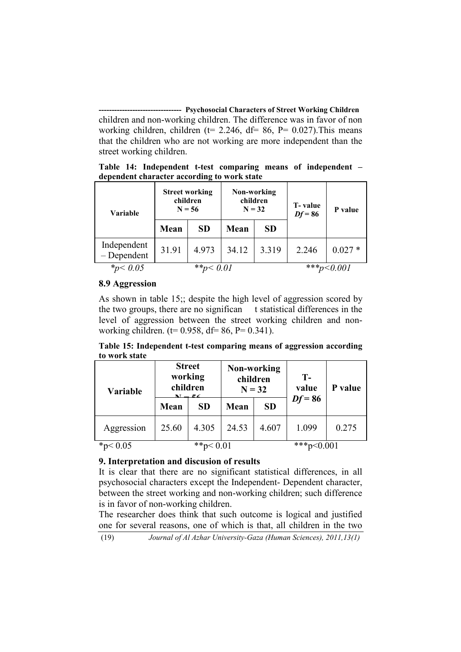**-------------------------------- Psychosocial Characters of Street Working Children**  children and non-working children. The difference was in favor of non working children, children ( $t= 2.246$ ,  $df= 86$ ,  $P= 0.027$ ). This means that the children who are not working are more independent than the street working children.

**Table 14: Independent t-test comparing means of independent – dependent character according to work state** 

| Variable                    | <b>Street working</b><br>children<br>$N = 56$ |           | Non-working<br>children<br>$N = 32$ |           | T-value<br>$Df = 86$ | P value  |
|-----------------------------|-----------------------------------------------|-----------|-------------------------------------|-----------|----------------------|----------|
|                             | Mean                                          | <b>SD</b> | <b>Mean</b>                         | <b>SD</b> |                      |          |
| Independent<br>$-Dependent$ | 31.91                                         | 4.973     | 34.12                               | 3.319     | 2.246                | $0.027*$ |
| $*_p < 0.05$                |                                               |           |                                     | $***n$    |                      |          |

### **8.9 Aggression**

As shown in table 15;; despite the high level of aggression scored by the two groups, there are no significan t statistical differences in the level of aggression between the street working children and nonworking children. ( $t= 0.958$ ,  $df= 86$ ,  $P= 0.341$ ).

**Table 15: Independent t-test comparing means of aggression according to work state** 

| Variable     | <b>Street</b><br>working<br>children |           | Non-working<br>children<br>$N = 32$ |           | $T -$<br>value | P value |  |
|--------------|--------------------------------------|-----------|-------------------------------------|-----------|----------------|---------|--|
|              | Mean                                 | <b>SD</b> | Mean                                | <b>SD</b> | $Df = 86$      |         |  |
| Aggression   | 25.60                                | 4.305     | 24.53                               | 4.607     | 1.099          | 0.275   |  |
| * $p < 0.05$ | **p $< 0.01$                         |           |                                     |           | ***p<0.001     |         |  |

# **9. Interpretation and discusion of results**

It is clear that there are no significant statistical differences, in all psychosocial characters except the Independent- Dependent character, between the street working and non-working children; such difference is in favor of non-working children.

The researcher does think that such outcome is logical and justified one for several reasons, one of which is that, all children in the two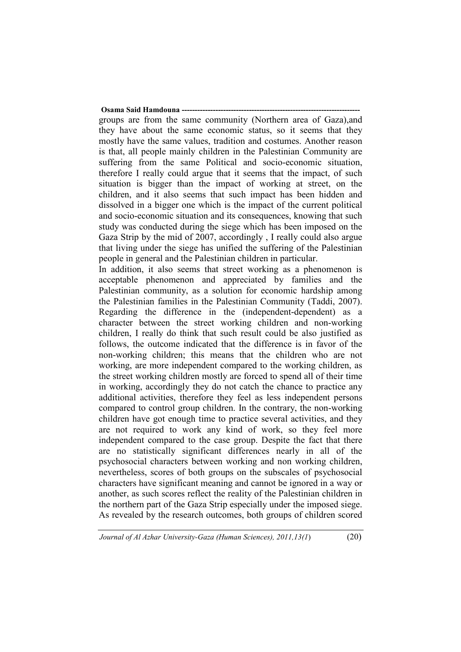## **Osama Said Hamdouna -**groups are from the same community (Northern area of Gaza),and they have about the same economic status, so it seems that they

mostly have the same values, tradition and costumes. Another reason is that, all people mainly children in the Palestinian Community are suffering from the same Political and socio-economic situation, therefore I really could argue that it seems that the impact, of such situation is bigger than the impact of working at street, on the children, and it also seems that such impact has been hidden and dissolved in a bigger one which is the impact of the current political and socio-economic situation and its consequences, knowing that such study was conducted during the siege which has been imposed on the Gaza Strip by the mid of 2007, accordingly , I really could also argue that living under the siege has unified the suffering of the Palestinian people in general and the Palestinian children in particular.

In addition, it also seems that street working as a phenomenon is acceptable phenomenon and appreciated by families and the Palestinian community, as a solution for economic hardship among the Palestinian families in the Palestinian Community (Taddi, 2007). Regarding the difference in the (independent-dependent) as a character between the street working children and non-working children, I really do think that such result could be also justified as follows, the outcome indicated that the difference is in favor of the non-working children; this means that the children who are not working, are more independent compared to the working children, as the street working children mostly are forced to spend all of their time in working, accordingly they do not catch the chance to practice any additional activities, therefore they feel as less independent persons compared to control group children. In the contrary, the non-working children have got enough time to practice several activities, and they are not required to work any kind of work, so they feel more independent compared to the case group. Despite the fact that there are no statistically significant differences nearly in all of the psychosocial characters between working and non working children, nevertheless, scores of both groups on the subscales of psychosocial characters have significant meaning and cannot be ignored in a way or another, as such scores reflect the reality of the Palestinian children in the northern part of the Gaza Strip especially under the imposed siege. As revealed by the research outcomes, both groups of children scored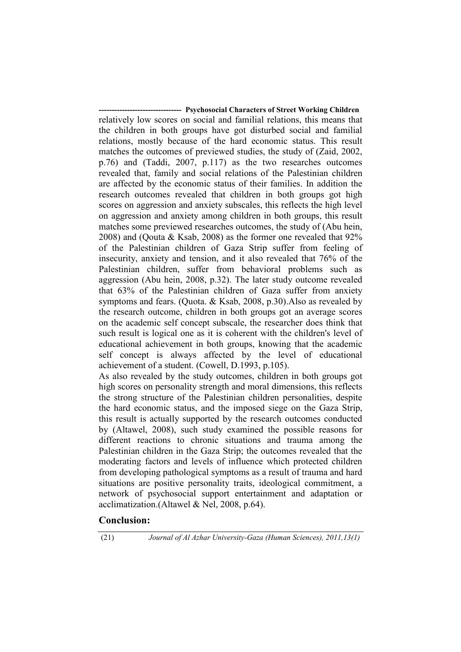**--- Psychosocial Characters of Street Working Children** relatively low scores on social and familial relations, this means that the children in both groups have got disturbed social and familial relations, mostly because of the hard economic status. This result matches the outcomes of previewed studies, the study of (Zaid, 2002, p.76) and (Taddi, 2007, p.117) as the two researches outcomes revealed that, family and social relations of the Palestinian children are affected by the economic status of their families. In addition the research outcomes revealed that children in both groups got high scores on aggression and anxiety subscales, this reflects the high level on aggression and anxiety among children in both groups, this result matches some previewed researches outcomes, the study of (Abu hein, 2008) and (Qouta & Ksab, 2008) as the former one revealed that 92% of the Palestinian children of Gaza Strip suffer from feeling of insecurity, anxiety and tension, and it also revealed that 76% of the Palestinian children, suffer from behavioral problems such as aggression (Abu hein, 2008, p.32). The later study outcome revealed that 63% of the Palestinian children of Gaza suffer from anxiety symptoms and fears. (Quota. & Ksab, 2008, p.30).Also as revealed by the research outcome, children in both groups got an average scores on the academic self concept subscale, the researcher does think that such result is logical one as it is coherent with the children's level of educational achievement in both groups, knowing that the academic self concept is always affected by the level of educational achievement of a student. (Cowell, D.1993, p.105).

As also revealed by the study outcomes, children in both groups got high scores on personality strength and moral dimensions, this reflects the strong structure of the Palestinian children personalities, despite the hard economic status, and the imposed siege on the Gaza Strip, this result is actually supported by the research outcomes conducted by (Altawel, 2008), such study examined the possible reasons for different reactions to chronic situations and trauma among the Palestinian children in the Gaza Strip; the outcomes revealed that the moderating factors and levels of influence which protected children from developing pathological symptoms as a result of trauma and hard situations are positive personality traits, ideological commitment, a network of psychosocial support entertainment and adaptation or acclimatization.(Altawel & Nel, 2008, p.64).

# **Conclusion:**

(21) *Journal of Al Azhar University-Gaza (Human Sciences), 2011,13(1)*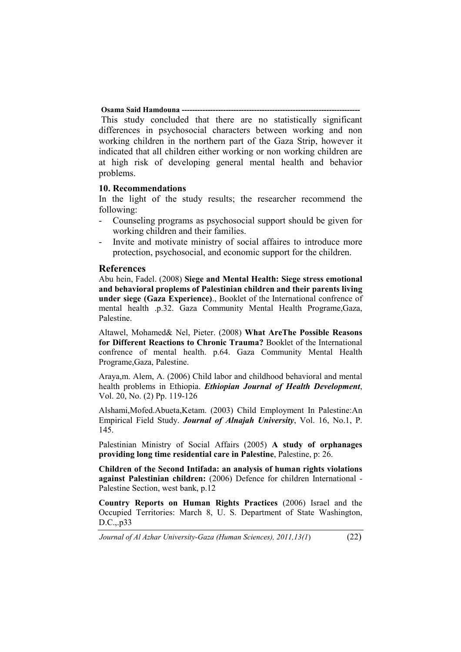**Osama Said Hamdouna ---------------------------------------------------------------------** This study concluded that there are no statistically significant differences in psychosocial characters between working and non working children in the northern part of the Gaza Strip, however it indicated that all children either working or non working children are at high risk of developing general mental health and behavior problems.

#### **10. Recommendations**

In the light of the study results; the researcher recommend the following:

- Counseling programs as psychosocial support should be given for working children and their families.
- Invite and motivate ministry of social affaires to introduce more protection, psychosocial, and economic support for the children.

#### **References**

Abu hein, Fadel. (2008) **Siege and Mental Health: Siege stress emotional and behavioral proplems of Palestinian children and their parents living under siege (Gaza Experience)**., Booklet of the International confrence of mental health .p.32. Gaza Community Mental Health Programe,Gaza, Palestine.

Altawel, Mohamed& Nel, Pieter. (2008) **What AreThe Possible Reasons for Different Reactions to Chronic Trauma?** Booklet of the International confrence of mental health. p.64. Gaza Community Mental Health Programe,Gaza, Palestine.

Araya,m. Alem, A. (2006) Child labor and childhood behavioral and mental health problems in Ethiopia. *Ethiopian Journal of Health Development*, Vol. 20, No. (2) Pp. 119-126

Alshami,Mofed.Abueta,Ketam. (2003) Child Employment In Palestine:An Empirical Field Study. *Journal of Alnajah University*, Vol. 16, No.1, P. 145.

Palestinian Ministry of Social Affairs (2005) **A study of orphanages providing long time residential care in Palestine**, Palestine, p: 26.

**Children of the Second Intifada: an analysis of human rights violations against Palestinian children:** (2006) Defence for children International - Palestine Section, west bank, p.12

**Country Reports on Human Rights Practices** (2006) Israel and the Occupied Territories: March 8, U. S. Department of State Washington, D.C.,.p33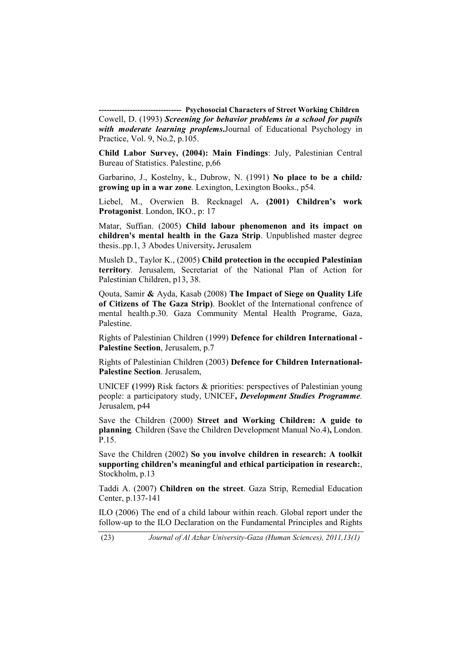**-------------------------------- Psychosocial Characters of Street Working Children**  Cowell, D. (1993) *Screening for behavior problems in a school for pupils with moderate learning proplems***.**Journal of Educational Psychology in Practice, Vol. 9, No.2, p.105.

**Child Labor Survey, (2004): Main Findings**: July, Palestinian Central Bureau of Statistics. Palestine, p,66

Garbarino, J., Kostelny, k., Dubrow, N. (1991) **No place to be a child***:*  **growing up in a war zone***.* Lexington, Lexington Books., p54.

Liebel, M., Overwien B. Recknagel A**. (2001) Children's work Protagonist**. London, IKO., p: 17

Matar, Suffian. (2005) **Child labour phenomenon and its impact on children's mental health in the Gaza Strip**. Unpublished master degree thesis..pp.1, 3 Abodes University**.** Jerusalem

Musleh D., Taylor K., (2005) **Child protection in the occupied Palestinian territory***.* Jerusalem, Secretariat of the National Plan of Action for Palestinian Children, p13, 38.

Qouta, Samir **&** Ayda, Kasab (2008) **The Impact of Siege on Quality Life of Citizens of The Gaza Strip)**. Booklet of the International confrence of mental health.p.30. Gaza Community Mental Health Programe, Gaza, Palestine.

Rights of Palestinian Children (1999) **Defence for children International - Palestine Section**, Jerusalem, p.7

Rights of Palestinian Children (2003) **Defence for Children International-Palestine Section**. Jerusalem,

UNICEF **(**1999**)** Risk factors & priorities: perspectives of Palestinian young people: a participatory study, UNICEF**,** *Development Studies Programme.* Jerusalem, p44

Save the Children (2000) **Street and Working Children: A guide to planning***.* Children (Save the Children Development Manual No.4)**,** London. P.15.

Save the Children (2002) **So you involve children in research: A toolkit supporting children's meaningful and ethical participation in research:**, Stockholm, p.13

Taddi A. (2007) **Children on the street**. Gaza Strip, Remedial Education Center, p.137-141

ILO (2006) The end of a child labour within reach. Global report under the follow-up to the ILO Declaration on the Fundamental Principles and Rights